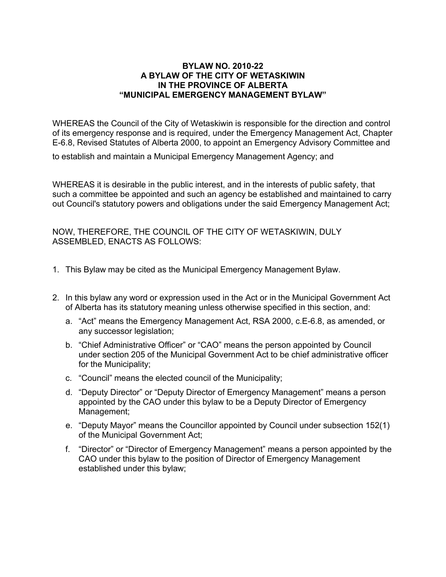### **BYLAW NO. 2010-22 A BYLAW OF THE CITY OF WETASKIWIN IN THE PROVINCE OF ALBERTA "MUNICIPAL EMERGENCY MANAGEMENT BYLAW"**

WHEREAS the Council of the City of Wetaskiwin is responsible for the direction and control of its emergency response and is required, under the Emergency Management Act, Chapter E-6.8, Revised Statutes of Alberta 2000, to appoint an Emergency Advisory Committee and

to establish and maintain a Municipal Emergency Management Agency; and

WHEREAS it is desirable in the public interest, and in the interests of public safety, that such a committee be appointed and such an agency be established and maintained to carry out Council's statutory powers and obligations under the said Emergency Management Act;

NOW, THEREFORE, THE COUNCIL OF THE CITY OF WETASKIWIN, DULY ASSEMBLED, ENACTS AS FOLLOWS:

- 1. This Bylaw may be cited as the Municipal Emergency Management Bylaw.
- 2. In this bylaw any word or expression used in the Act or in the Municipal Government Act of Alberta has its statutory meaning unless otherwise specified in this section, and:
	- a. "Act" means the Emergency Management Act, RSA 2000, c.E-6.8, as amended, or any successor legislation;
	- b. "Chief Administrative Officer" or "CAO" means the person appointed by Council under section 205 of the Municipal Government Act to be chief administrative officer for the Municipality;
	- c. "Council" means the elected council of the Municipality;
	- d. "Deputy Director" or "Deputy Director of Emergency Management" means a person appointed by the CAO under this bylaw to be a Deputy Director of Emergency Management;
	- e. "Deputy Mayor" means the Councillor appointed by Council under subsection 152(1) of the Municipal Government Act;
	- f. "Director" or "Director of Emergency Management" means a person appointed by the CAO under this bylaw to the position of Director of Emergency Management established under this bylaw;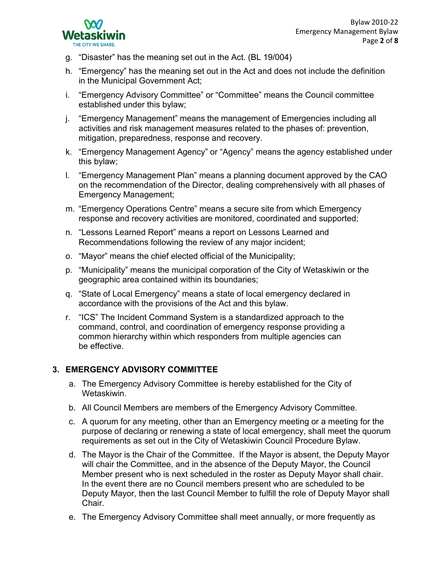

- g. "Disaster" has the meaning set out in the Act. (BL 19/004)
- h. "Emergency" has the meaning set out in the Act and does not include the definition in the Municipal Government Act;
- i. "Emergency Advisory Committee" or "Committee" means the Council committee established under this bylaw;
- j. "Emergency Management" means the management of Emergencies including all activities and risk management measures related to the phases of: prevention, mitigation, preparedness, response and recovery.
- k. "Emergency Management Agency" or "Agency" means the agency established under this bylaw;
- l. "Emergency Management Plan" means a planning document approved by the CAO on the recommendation of the Director, dealing comprehensively with all phases of Emergency Management;
- m. "Emergency Operations Centre" means a secure site from which Emergency response and recovery activities are monitored, coordinated and supported;
- n. "Lessons Learned Report" means a report on Lessons Learned and Recommendations following the review of any major incident;
- o. "Mayor" means the chief elected official of the Municipality;
- p. "Municipality" means the municipal corporation of the City of Wetaskiwin or the geographic area contained within its boundaries;
- q. "State of Local Emergency" means a state of local emergency declared in accordance with the provisions of the Act and this bylaw.
- r. "ICS" The Incident Command System is a standardized approach to the command, control, and coordination of emergency response providing a common hierarchy within which responders from multiple agencies can be effective.

### **3. EMERGENCY ADVISORY COMMITTEE**

- a. The Emergency Advisory Committee is hereby established for the City of Wetaskiwin.
- b. All Council Members are members of the Emergency Advisory Committee.
- c. A quorum for any meeting, other than an Emergency meeting or a meeting for the purpose of declaring or renewing a state of local emergency, shall meet the quorum requirements as set out in the City of Wetaskiwin Council Procedure Bylaw.
- d. The Mayor is the Chair of the Committee. If the Mayor is absent, the Deputy Mayor will chair the Committee, and in the absence of the Deputy Mayor, the Council Member present who is next scheduled in the roster as Deputy Mayor shall chair. In the event there are no Council members present who are scheduled to be Deputy Mayor, then the last Council Member to fulfill the role of Deputy Mayor shall Chair.
- e. The Emergency Advisory Committee shall meet annually, or more frequently as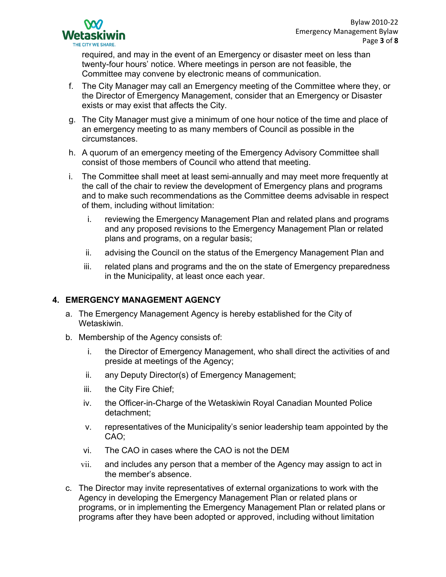

required, and may in the event of an Emergency or disaster meet on less than twenty-four hours' notice. Where meetings in person are not feasible, the Committee may convene by electronic means of communication.

- f. The City Manager may call an Emergency meeting of the Committee where they, or the Director of Emergency Management, consider that an Emergency or Disaster exists or may exist that affects the City.
- g. The City Manager must give a minimum of one hour notice of the time and place of an emergency meeting to as many members of Council as possible in the circumstances.
- h. A quorum of an emergency meeting of the Emergency Advisory Committee shall consist of those members of Council who attend that meeting.
- i. The Committee shall meet at least semi-annually and may meet more frequently at the call of the chair to review the development of Emergency plans and programs and to make such recommendations as the Committee deems advisable in respect of them, including without limitation:
	- i. reviewing the Emergency Management Plan and related plans and programs and any proposed revisions to the Emergency Management Plan or related plans and programs, on a regular basis;
	- ii. advising the Council on the status of the Emergency Management Plan and
	- iii. related plans and programs and the on the state of Emergency preparedness in the Municipality, at least once each year.

### **4. EMERGENCY MANAGEMENT AGENCY**

- a. The Emergency Management Agency is hereby established for the City of Wetaskiwin.
- b. Membership of the Agency consists of:
	- i. the Director of Emergency Management, who shall direct the activities of and preside at meetings of the Agency;
	- ii. any Deputy Director(s) of Emergency Management;
	- iii. the City Fire Chief;
	- iv. the Officer-in-Charge of the Wetaskiwin Royal Canadian Mounted Police detachment;
	- v. representatives of the Municipality's senior leadership team appointed by the CAO;
	- vi. The CAO in cases where the CAO is not the DEM
	- vii. and includes any person that a member of the Agency may assign to act in the member's absence.
- c. The Director may invite representatives of external organizations to work with the Agency in developing the Emergency Management Plan or related plans or programs, or in implementing the Emergency Management Plan or related plans or programs after they have been adopted or approved, including without limitation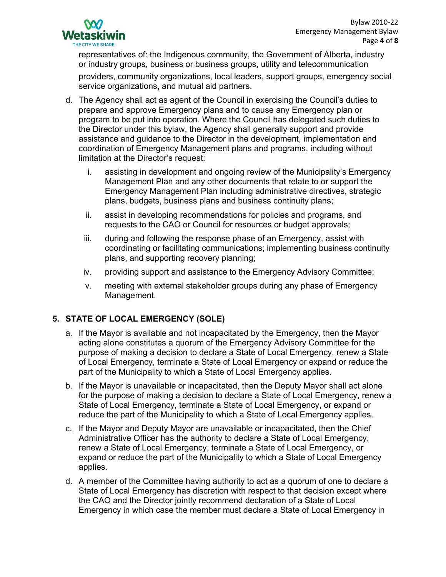

representatives of: the Indigenous community, the Government of Alberta, industry or industry groups, business or business groups, utility and telecommunication providers, community organizations, local leaders, support groups, emergency social service organizations, and mutual aid partners.

- d. The Agency shall act as agent of the Council in exercising the Council's duties to prepare and approve Emergency plans and to cause any Emergency plan or program to be put into operation. Where the Council has delegated such duties to the Director under this bylaw, the Agency shall generally support and provide assistance and guidance to the Director in the development, implementation and coordination of Emergency Management plans and programs, including without limitation at the Director's request:
	- i. assisting in development and ongoing review of the Municipality's Emergency Management Plan and any other documents that relate to or support the Emergency Management Plan including administrative directives, strategic plans, budgets, business plans and business continuity plans;
	- ii. assist in developing recommendations for policies and programs, and requests to the CAO or Council for resources or budget approvals;
	- iii. during and following the response phase of an Emergency, assist with coordinating or facilitating communications; implementing business continuity plans, and supporting recovery planning;
	- iv. providing support and assistance to the Emergency Advisory Committee;
	- v. meeting with external stakeholder groups during any phase of Emergency Management.

# **5. STATE OF LOCAL EMERGENCY (SOLE)**

- a. If the Mayor is available and not incapacitated by the Emergency, then the Mayor acting alone constitutes a quorum of the Emergency Advisory Committee for the purpose of making a decision to declare a State of Local Emergency, renew a State of Local Emergency, terminate a State of Local Emergency or expand or reduce the part of the Municipality to which a State of Local Emergency applies.
- b. If the Mayor is unavailable or incapacitated, then the Deputy Mayor shall act alone for the purpose of making a decision to declare a State of Local Emergency, renew a State of Local Emergency, terminate a State of Local Emergency, or expand or reduce the part of the Municipality to which a State of Local Emergency applies.
- c. If the Mayor and Deputy Mayor are unavailable or incapacitated, then the Chief Administrative Officer has the authority to declare a State of Local Emergency, renew a State of Local Emergency, terminate a State of Local Emergency, or expand or reduce the part of the Municipality to which a State of Local Emergency applies.
- d. A member of the Committee having authority to act as a quorum of one to declare a State of Local Emergency has discretion with respect to that decision except where the CAO and the Director jointly recommend declaration of a State of Local Emergency in which case the member must declare a State of Local Emergency in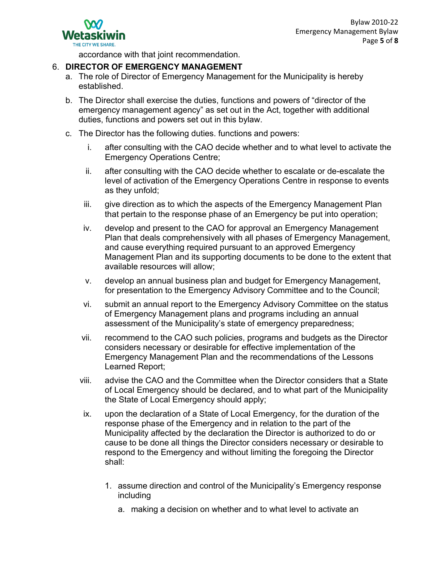accordance with that joint recommendation.

### 6. **DIRECTOR OF EMERGENCY MANAGEMENT**

- a. The role of Director of Emergency Management for the Municipality is hereby established.
- b. The Director shall exercise the duties, functions and powers of "director of the emergency management agency" as set out in the Act, together with additional duties, functions and powers set out in this bylaw.
- c. The Director has the following duties. functions and powers:
	- i. after consulting with the CAO decide whether and to what level to activate the Emergency Operations Centre;
	- ii. after consulting with the CAO decide whether to escalate or de-escalate the level of activation of the Emergency Operations Centre in response to events as they unfold;
	- iii. give direction as to which the aspects of the Emergency Management Plan that pertain to the response phase of an Emergency be put into operation;
	- iv. develop and present to the CAO for approval an Emergency Management Plan that deals comprehensively with all phases of Emergency Management, and cause everything required pursuant to an approved Emergency Management Plan and its supporting documents to be done to the extent that available resources will allow;
	- v. develop an annual business plan and budget for Emergency Management, for presentation to the Emergency Advisory Committee and to the Council;
	- vi. submit an annual report to the Emergency Advisory Committee on the status of Emergency Management plans and programs including an annual assessment of the Municipality's state of emergency preparedness;
	- vii. recommend to the CAO such policies, programs and budgets as the Director considers necessary or desirable for effective implementation of the Emergency Management Plan and the recommendations of the Lessons Learned Report;
	- viii. advise the CAO and the Committee when the Director considers that a State of Local Emergency should be declared, and to what part of the Municipality the State of Local Emergency should apply;
	- ix. upon the declaration of a State of Local Emergency, for the duration of the response phase of the Emergency and in relation to the part of the Municipality affected by the declaration the Director is authorized to do or cause to be done all things the Director considers necessary or desirable to respond to the Emergency and without limiting the foregoing the Director shall:
		- 1. assume direction and control of the Municipality's Emergency response including
			- a. making a decision on whether and to what level to activate an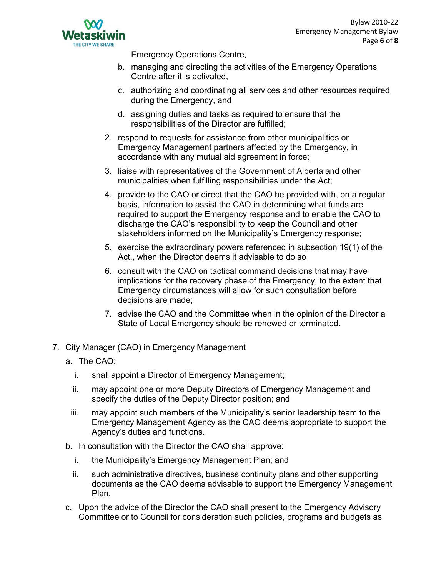

Emergency Operations Centre,

- b. managing and directing the activities of the Emergency Operations Centre after it is activated,
- c. authorizing and coordinating all services and other resources required during the Emergency, and
- d. assigning duties and tasks as required to ensure that the responsibilities of the Director are fulfilled;
- 2. respond to requests for assistance from other municipalities or Emergency Management partners affected by the Emergency, in accordance with any mutual aid agreement in force;
- 3. liaise with representatives of the Government of Alberta and other municipalities when fulfilling responsibilities under the Act;
- 4. provide to the CAO or direct that the CAO be provided with, on a regular basis, information to assist the CAO in determining what funds are required to support the Emergency response and to enable the CAO to discharge the CAO's responsibility to keep the Council and other stakeholders informed on the Municipality's Emergency response;
- 5. exercise the extraordinary powers referenced in subsection 19(1) of the Act,, when the Director deems it advisable to do so
- 6. consult with the CAO on tactical command decisions that may have implications for the recovery phase of the Emergency, to the extent that Emergency circumstances will allow for such consultation before decisions are made;
- 7. advise the CAO and the Committee when in the opinion of the Director a State of Local Emergency should be renewed or terminated.
- 7. City Manager (CAO) in Emergency Management
	- a. The CAO:
		- i. shall appoint a Director of Emergency Management;
		- ii. may appoint one or more Deputy Directors of Emergency Management and specify the duties of the Deputy Director position; and
		- iii. may appoint such members of the Municipality's senior leadership team to the Emergency Management Agency as the CAO deems appropriate to support the Agency's duties and functions.
	- b. In consultation with the Director the CAO shall approve:
		- i. the Municipality's Emergency Management Plan; and
		- ii. such administrative directives, business continuity plans and other supporting documents as the CAO deems advisable to support the Emergency Management Plan.
	- c. Upon the advice of the Director the CAO shall present to the Emergency Advisory Committee or to Council for consideration such policies, programs and budgets as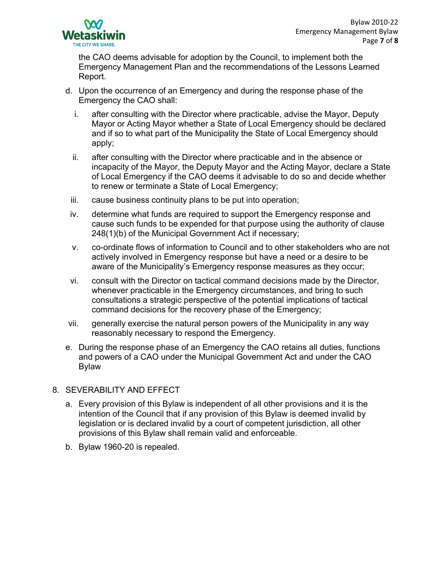

the CAO deems advisable for adoption by the Council, to implement both the Emergency Management Plan and the recommendations of the Lessons Learned Report.

- d. Upon the occurrence of an Emergency and during the response phase of the Emergency the CAO shall:
	- i. after consulting with the Director where practicable, advise the Mayor, Deputy Mayor or Acting Mayor whether a State of Local Emergency should be declared and if so to what part of the Municipality the State of Local Emergency should apply;
	- ii. after consulting with the Director where practicable and in the absence or incapacity of the Mayor, the Deputy Mayor and the Acting Mayor, declare a State of Local Emergency if the CAO deems it advisable to do so and decide whether to renew or terminate a State of Local Emergency;
- iii. cause business continuity plans to be put into operation;
- iv. determine what funds are required to support the Emergency response and cause such funds to be expended for that purpose using the authority of clause 248(1)(b) of the Municipal Government Act if necessary;
- v. co-ordinate flows of information to Council and to other stakeholders who are not actively involved in Emergency response but have a need or a desire to be aware of the Municipality's Emergency response measures as they occur;
- vi. consult with the Director on tactical command decisions made by the Director, whenever practicable in the Emergency circumstances, and bring to such consultations a strategic perspective of the potential implications of tactical command decisions for the recovery phase of the Emergency;
- vii. generally exercise the natural person powers of the Municipality in any way reasonably necessary to respond the Emergency.
- e. During the response phase of an Emergency the CAO retains all duties, functions and powers of a CAO under the Municipal Government Act and under the CAO Bylaw

## 8. SEVERABILITY AND EFFECT

- a. Every provision of this Bylaw is independent of all other provisions and it is the intention of the Council that if any provision of this Bylaw is deemed invalid by legislation or is declared invalid by a court of competent jurisdiction, all other provisions of this Bylaw shall remain valid and enforceable.
- b. Bylaw 1960-20 is repealed.